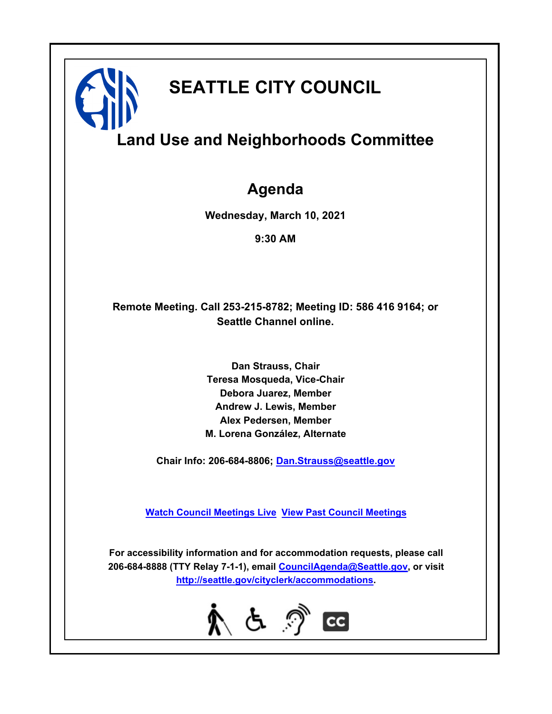# **SEATTLE CITY COUNCIL**

# **Land Use and Neighborhoods Committee**

## **Agenda**

**Wednesday, March 10, 2021**

**9:30 AM**

## **Remote Meeting. Call 253-215-8782; Meeting ID: 586 416 9164; or Seattle Channel online.**

**Dan Strauss, Chair Teresa Mosqueda, Vice-Chair Debora Juarez, Member Andrew J. Lewis, Member Alex Pedersen, Member M. Lorena González, Alternate**

**Chair Info: 206-684-8806; [Dan.Strauss@seattle.gov](mailto: Dan.Strauss@seattle.gov)**

**[Watch Council Meetings Live](http://www.seattle.gov/council/councillive.htm) [View Past Council Meetings](http://www.seattlechannel.org/videos/browseVideos.asp?topic=council)**

**For accessibility information and for accommodation requests, please call 206-684-8888 (TTY Relay 7-1-1), email [CouncilAgenda@Seattle.gov](mailto: CouncilAgenda@Seattle.gov), or visit <http://seattle.gov/cityclerk/accommodations>.**

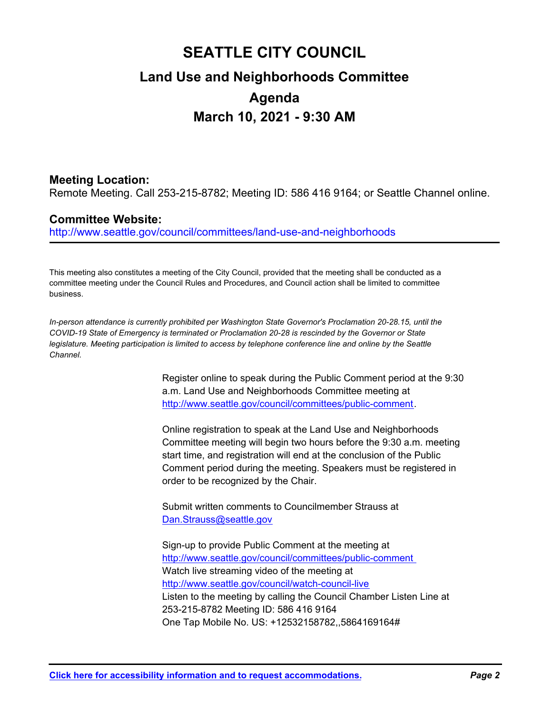## **SEATTLE CITY COUNCIL Land Use and Neighborhoods Committee Agenda March 10, 2021 - 9:30 AM**

## **Meeting Location:**

Remote Meeting. Call 253-215-8782; Meeting ID: 586 416 9164; or Seattle Channel online.

## **Committee Website:**

http://www.seattle.gov/council/committees/land-use-and-neighborhoods

This meeting also constitutes a meeting of the City Council, provided that the meeting shall be conducted as a committee meeting under the Council Rules and Procedures, and Council action shall be limited to committee business.

*In-person attendance is currently prohibited per Washington State Governor's Proclamation 20-28.15, until the COVID-19 State of Emergency is terminated or Proclamation 20-28 is rescinded by the Governor or State legislature. Meeting participation is limited to access by telephone conference line and online by the Seattle Channel.*

> Register online to speak during the Public Comment period at the 9:30 a.m. Land Use and Neighborhoods Committee meeting at http://www.seattle.gov/council/committees/public-comment.

Online registration to speak at the Land Use and Neighborhoods Committee meeting will begin two hours before the 9:30 a.m. meeting start time, and registration will end at the conclusion of the Public Comment period during the meeting. Speakers must be registered in order to be recognized by the Chair.

Submit written comments to Councilmember Strauss at Dan.Strauss@seattle.gov

Sign-up to provide Public Comment at the meeting at http://www.seattle.gov/council/committees/public-comment Watch live streaming video of the meeting at http://www.seattle.gov/council/watch-council-live Listen to the meeting by calling the Council Chamber Listen Line at 253-215-8782 Meeting ID: 586 416 9164 One Tap Mobile No. US: +12532158782,,5864169164#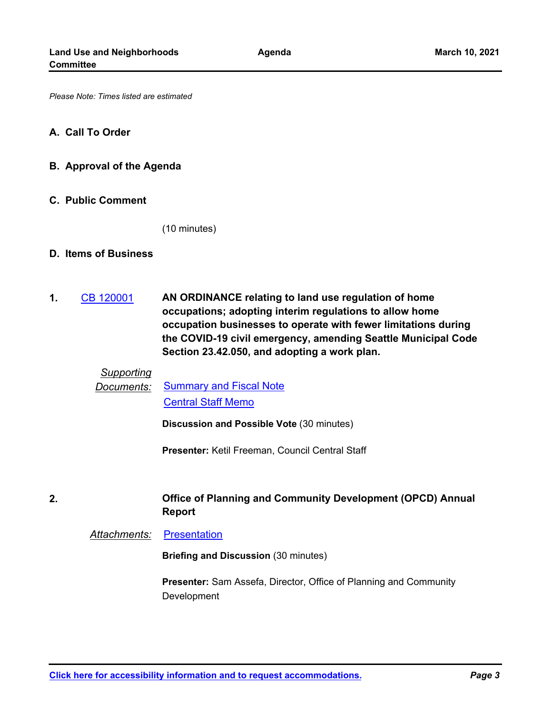*Please Note: Times listed are estimated*

#### **A. Call To Order**

**B. Approval of the Agenda**

#### **C. Public Comment**

(10 minutes)

#### **D. Items of Business**

**2.**

**AN ORDINANCE relating to land use regulation of home occupations; adopting interim regulations to allow home occupation businesses to operate with fewer limitations during the COVID-19 civil emergency, amending Seattle Municipal Code Section 23.42.050, and adopting a work plan. 1.** [CB 120001](http://seattle.legistar.com/gateway.aspx?m=l&id=/matter.aspx?key=11388)

## *Supporting*

*Documents:* [Summary and Fiscal Note](http://seattle.legistar.com/gateway.aspx?M=F&ID=be100a10-efb1-4abb-9b66-6ffcb4b25e47.docx) [Central Staff Memo](http://seattle.legistar.com/gateway.aspx?M=F&ID=4c9c77fd-9b81-4a1d-8b8b-217e125d9ef6.pdf)

**Discussion and Possible Vote** (30 minutes)

**Presenter:** Ketil Freeman, Council Central Staff

### **Office of Planning and Community Development (OPCD) Annual Report**

**Attachments: [Presentation](http://seattle.legistar.com/gateway.aspx?M=F&ID=f5154c71-dc96-4314-8832-b5e0273bbe25.pptx)** 

**Briefing and Discussion** (30 minutes)

**Presenter:** Sam Assefa, Director, Office of Planning and Community Development